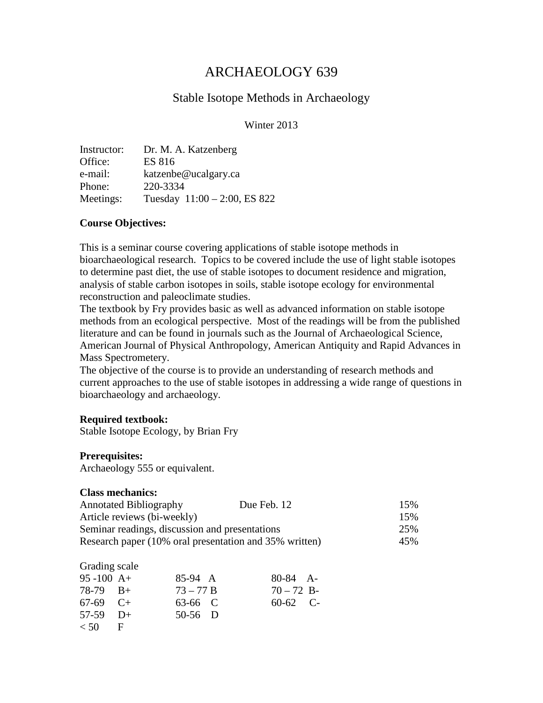# ARCHAEOLOGY 639

## Stable Isotope Methods in Archaeology

### Winter 2013

| Instructor: | Dr. M. A. Katzenberg            |
|-------------|---------------------------------|
| Office:     | <b>ES 816</b>                   |
| e-mail:     | katzenbe@ucalgary.ca            |
| Phone:      | 220-3334                        |
| Meetings:   | Tuesday $11:00 - 2:00$ , ES 822 |

#### **Course Objectives:**

This is a seminar course covering applications of stable isotope methods in bioarchaeological research. Topics to be covered include the use of light stable isotopes to determine past diet, the use of stable isotopes to document residence and migration, analysis of stable carbon isotopes in soils, stable isotope ecology for environmental reconstruction and paleoclimate studies.

The textbook by Fry provides basic as well as advanced information on stable isotope methods from an ecological perspective. Most of the readings will be from the published literature and can be found in journals such as the Journal of Archaeological Science, American Journal of Physical Anthropology, American Antiquity and Rapid Advances in Mass Spectrometery.

The objective of the course is to provide an understanding of research methods and current approaches to the use of stable isotopes in addressing a wide range of questions in bioarchaeology and archaeology.

#### **Required textbook:**

Stable Isotope Ecology, by Brian Fry

### **Prerequisites:**

Archaeology 555 or equivalent.

#### **Class mechanics:**

| <b>Annotated Bibliography</b>                          | Due Feb. 12 | 15% |
|--------------------------------------------------------|-------------|-----|
| Article reviews (bi-weekly)                            |             | 15% |
| Seminar readings, discussion and presentations         |             | 25% |
| Research paper (10% oral presentation and 35% written) |             | 45% |

#### Grading scale

| $95 - 100$ A+ |     | 85-94 A     | $80-84$ A-   |  |
|---------------|-----|-------------|--------------|--|
| $78-79$ $B+$  |     | $73 - 77 B$ | $70 - 72$ B- |  |
| $67-69$ $C+$  |     | 63-66 C     | $60-62$ C-   |  |
| $57-59$ D+    |     | $50-56$ D   |              |  |
| < 50          | - F |             |              |  |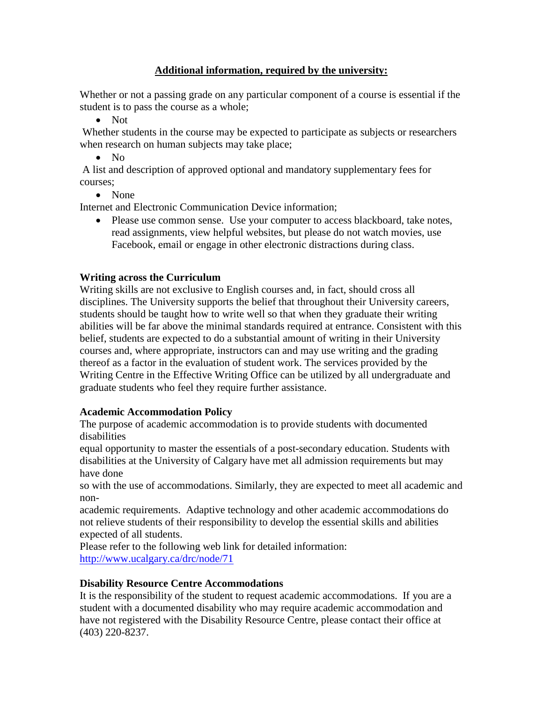### **Additional information, required by the university:**

Whether or not a passing grade on any particular component of a course is essential if the student is to pass the course as a whole;

• Not

Whether students in the course may be expected to participate as subjects or researchers when research on human subjects may take place;

• No

A list and description of approved optional and mandatory supplementary fees for courses;

• None

Internet and Electronic Communication Device information;

• Please use common sense. Use your computer to access blackboard, take notes, read assignments, view helpful websites, but please do not watch movies, use Facebook, email or engage in other electronic distractions during class.

### **Writing across the Curriculum**

Writing skills are not exclusive to English courses and, in fact, should cross all disciplines. The University supports the belief that throughout their University careers, students should be taught how to write well so that when they graduate their writing abilities will be far above the minimal standards required at entrance. Consistent with this belief, students are expected to do a substantial amount of writing in their University courses and, where appropriate, instructors can and may use writing and the grading thereof as a factor in the evaluation of student work. The services provided by the Writing Centre in the Effective Writing Office can be utilized by all undergraduate and graduate students who feel they require further assistance.

### **Academic Accommodation Policy**

The purpose of academic accommodation is to provide students with documented disabilities

equal opportunity to master the essentials of a post-secondary education. Students with disabilities at the University of Calgary have met all admission requirements but may have done

so with the use of accommodations. Similarly, they are expected to meet all academic and non-

academic requirements. Adaptive technology and other academic accommodations do not relieve students of their responsibility to develop the essential skills and abilities expected of all students.

Please refer to the following web link for detailed information: <http://www.ucalgary.ca/drc/node/71>

### **Disability Resource Centre Accommodations**

It is the responsibility of the student to request academic accommodations. If you are a student with a documented disability who may require academic accommodation and have not registered with the Disability Resource Centre, please contact their office at (403) 220-8237.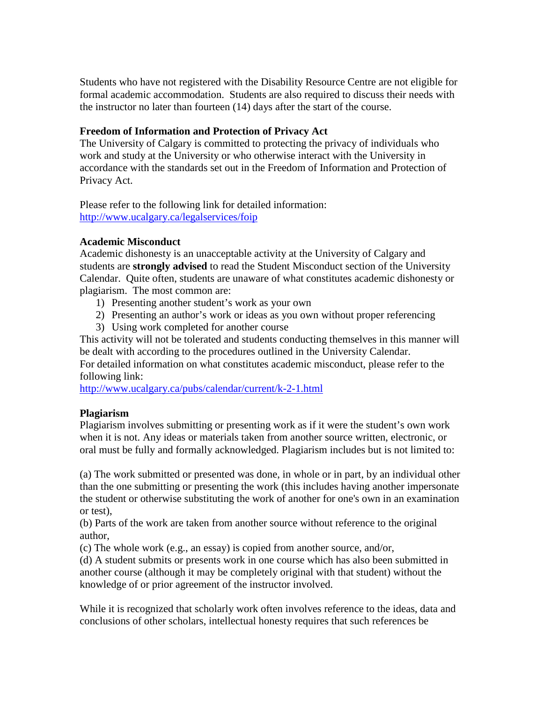Students who have not registered with the Disability Resource Centre are not eligible for formal academic accommodation. Students are also required to discuss their needs with the instructor no later than fourteen (14) days after the start of the course.

### **Freedom of Information and Protection of Privacy Act**

The University of Calgary is committed to protecting the privacy of individuals who work and study at the University or who otherwise interact with the University in accordance with the standards set out in the Freedom of Information and Protection of Privacy Act.

Please refer to the following link for detailed information: <http://www.ucalgary.ca/legalservices/foip>

### **Academic Misconduct**

Academic dishonesty is an unacceptable activity at the University of Calgary and students are **strongly advised** to read the Student Misconduct section of the University Calendar. Quite often, students are unaware of what constitutes academic dishonesty or plagiarism. The most common are:

- 1) Presenting another student's work as your own
- 2) Presenting an author's work or ideas as you own without proper referencing
- 3) Using work completed for another course

This activity will not be tolerated and students conducting themselves in this manner will be dealt with according to the procedures outlined in the University Calendar. For detailed information on what constitutes academic misconduct, please refer to the following link:

<http://www.ucalgary.ca/pubs/calendar/current/k-2-1.html>

### **Plagiarism**

Plagiarism involves submitting or presenting work as if it were the student's own work when it is not. Any ideas or materials taken from another source written, electronic, or oral must be fully and formally acknowledged. Plagiarism includes but is not limited to:

(a) The work submitted or presented was done, in whole or in part, by an individual other than the one submitting or presenting the work (this includes having another impersonate the student or otherwise substituting the work of another for one's own in an examination or test),

(b) Parts of the work are taken from another source without reference to the original author,

(c) The whole work (e.g., an essay) is copied from another source, and/or,

(d) A student submits or presents work in one course which has also been submitted in another course (although it may be completely original with that student) without the knowledge of or prior agreement of the instructor involved.

While it is recognized that scholarly work often involves reference to the ideas, data and conclusions of other scholars, intellectual honesty requires that such references be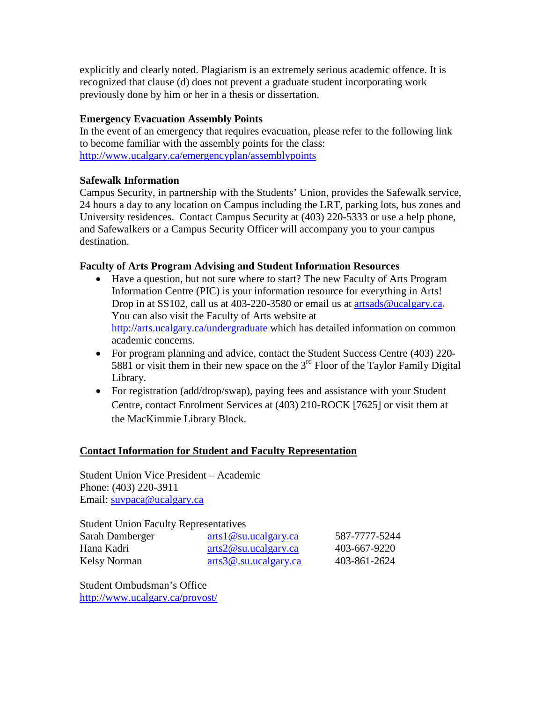explicitly and clearly noted. Plagiarism is an extremely serious academic offence. It is recognized that clause (d) does not prevent a graduate student incorporating work previously done by him or her in a thesis or dissertation.

### **Emergency Evacuation Assembly Points**

In the event of an emergency that requires evacuation, please refer to the following link to become familiar with the assembly points for the class: <http://www.ucalgary.ca/emergencyplan/assemblypoints>

### **Safewalk Information**

Campus Security, in partnership with the Students' Union, provides the Safewalk service, 24 hours a day to any location on Campus including the LRT, parking lots, bus zones and University residences. Contact Campus Security at (403) 220-5333 or use a help phone, and Safewalkers or a Campus Security Officer will accompany you to your campus destination.

### **Faculty of Arts Program Advising and Student Information Resources**

- Have a question, but not sure where to start? The new Faculty of Arts Program Information Centre (PIC) is your information resource for everything in Arts! Drop in at SS102, call us at 403-220-3580 or email us at [artsads@ucalgary.ca.](mailto:artsads@ucalgary.ca) You can also visit the Faculty of Arts website at <http://arts.ucalgary.ca/undergraduate> which has detailed information on common academic concerns.
- For program planning and advice, contact the Student Success Centre (403) 220-5881 or visit them in their new space on the 3rd Floor of the Taylor Family Digital Library.
- For registration (add/drop/swap), paying fees and assistance with your Student Centre, contact Enrolment Services at (403) 210-ROCK [7625] or visit them at the MacKimmie Library Block.

### **Contact Information for Student and Faculty Representation**

Student Union Vice President – Academic Phone: (403) 220-3911 Email: [suvpaca@ucalgary.ca](mailto:suvpaca@ucalgary.ca)

Student Union Faculty Representatives Sarah Damberger [arts1@su.ucalgary.ca](mailto:arts1@su.ucalgary.ca) 587-7777-5244 Hana Kadri [arts2@su.ucalgary.ca](mailto:arts2@su.ucalgary.ca) 403-667-9220 Kelsy Norman [arts3@.su.ucalgary.ca](mailto:arts3@.su.ucalgary.ca) 403-861-2624

Student Ombudsman's Office <http://www.ucalgary.ca/provost/>